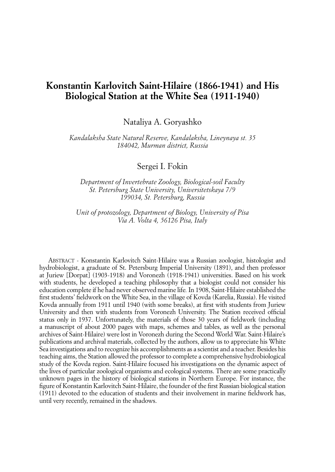## **Konstantin Karlovitch Saint-Hilaire (1866-1941) and His Biological Station at the White Sea (1911-1940)**

Nataliya A. Goryashko

*Kandalaksha State Natural Reserve, Kandalaksha, Lineynaya st. 35 184042, Murman district, Russia*

Sergei I. Fokin

*Department of Invertebrate Zoology, Biological-soil Faculty St. Petersburg State University, Universitetskaya 7/9 199034, St. Petersburg, Russia*

*Unit of protozology, Department of Biology, University of Pisa Via A. Volta 4, 56126 Pisa, Italy*

Abstract - Konstantin Karlovitch Saint-Hilaire was a Russian zoologist, histologist and hydrobiologist, a graduate of St. Petersburg Imperial University (1891), and then professor at Juriew [Dorpat] (1903-1918) and Voronezh (1918-1941) universities. Based on his work with students, he developed a teaching philosophy that a biologist could not consider his education complete if he had never observed marine life*.* In 1908, Saint-Hilaire established the first students' fieldwork on the White Sea, in the village of Kovda (Karelia, Russia). He visited Kovda annually from 1911 until 1940 (with some breaks), at first with students from Juriew University and then with students from Voronezh University. The Station received official status only in 1937. Unfortunately, the materials of those 30 years of fieldwork (including a manuscript of about 2000 pages with maps, schemes and tables, as well as the personal archives of Saint-Hilaire) were lost in Voronezh during the Second World War. Saint-Hilaire's publications and archival materials, collected by the authors, allow us to appreciate his White Sea investigations and to recognize his accomplishments as a scientist and a teacher. Besides his teaching aims, the Station allowed the professor to complete a comprehensive hydrobiological study of the Kovda region. Saint-Hilaire focused his investigations on the dynamic aspect of the lives of particular zoological organisms and ecological systems. There are some practically unknown pages in the history of biological stations in Northern Europe. For instance, the figure of Konstantin Karlovitch Saint-Hilaire, the founder of the first Russian biological station (1911) devoted to the education of students and their involvement in marine fieldwork has, until very recently, remained in the shadows.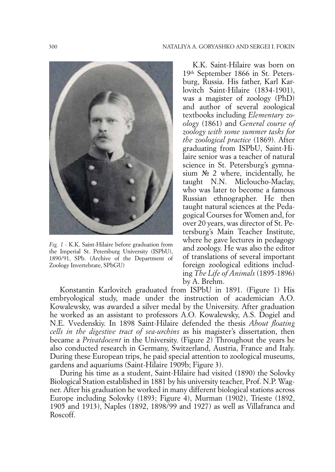

*Fig. 1 -* K.K. Saint-Hilaire before graduation from the Imperial St. Petersburg University (ISPbU), 1890/91, SPb. (Archive of the Department of Zoology Invertebrate, SPbGU)

K.K. Saint-Hilaire was born on 19th September 1866 in St. Petersburg, Russia. His father, Karl Karlovitch Saint-Hilaire (1834-1901), was a magister of zoology (PhD) and author of several zoological textbooks including *Elementary zoology* (1861) and *General course of zoology with some summer tasks for the zoological practice* (1869). After graduating from ISPbU, Saint-Hilaire senior was a teacher of natural science in St. Petersburg's gymnasium № 2 where, incidentally, he taught N.N. Micloucho-Maclay, who was later to become a famous Russian ethnographer. He then taught natural sciences at the Pedagogical Courses for Women and, for over 20 years, was director of St. Petersburg's Main Teacher Institute, where he gave lectures in pedagogy and zoology. He was also the editor of translations of several important foreign zoological editions including *The Life of Animals* (1895-1896) by A. Brehm.

Konstantin Karlovitch graduated from ISPbU in 1891. (Figure 1) His embryological study, made under the instruction of academician A.O. Kowalewsky, was awarded a silver medal by the University. After graduation he worked as an assistant to professors A.O. Kowalewsky, A.S. Dogiel and N.E. Vvedenskiy. In 1898 Saint-Hilaire defended the thesis *About floating cells in the digestive tract of sea-urchins* as his magister's dissertation, then became a *Privatdocent* in the University. (Figure 2) Throughout the years he also conducted research in Germany, Switzerland, Austria, France and Italy. During these European trips, he paid special attention to zoological museums, gardens and aquariums (Saint-Hilaire 1909b; Figure 3).

During his time as a student, Saint-Hilaire had visited (1890) the Solovky Biological Station established in 1881 by his university teacher, Prof. N.P. Wagner. After his graduation he worked in many different biological stations across Europe including Solovky (1893; Figure 4), Murman (1902), Trieste (1892, 1905 and 1913), Naples (1892, 1898/99 and 1927) as well as Villafranca and Roscoff.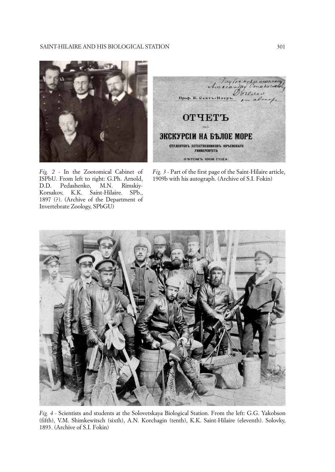

*Fig. 2 -* In the Zootomical Cabinet of ISPbU. From left to right: G.Ph. Arnold, D.D. Pedashenko, M.N. Rimskiy-Korsakov, K.K. Saint-Hilaire. SPb., 1897 (?). (Archive of the Department of

Invertebrate Zoology, SPbGU)



*Fig. 3 -* Part of the first page of the Saint-Hilaire article, 1909b with his autograph. (Archive of S.I. Fokin)



*Fig. 4 -* Scientists and students at the Solovetskaya Biological Station. From the left: G.G. Yakobson (fifth), V.M. Shimkewitsch (sixth), A.N. Korchagin (tenth), K.K. Saint-Hilaire (eleventh). Solovky, 1893. (Archive of S.I. Fokin)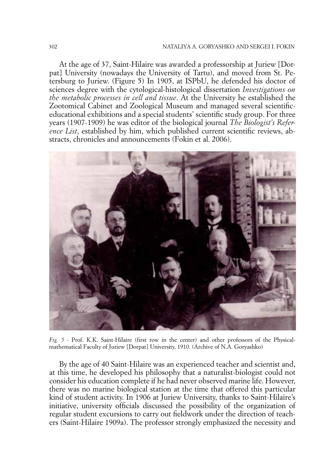At the age of 37, Saint-Hilaire was awarded a professorship at Juriew [Dorpat] University (nowadays the University of Tartu), and moved from St. Petersburg to Juriew. (Figure 5) In 1905, at ISPbU, he defended his doctor of sciences degree with the cytological-histological dissertation *Investigations on the metabolic processes in cell and tissue*. At the University he established the Zootomical Cabinet and Zoological Museum and managed several scientificeducational exhibitions and a special students' scientific study group. For three years (1907-1909) he was editor of the biological journal *The Biologist's Reference List*, established by him, which published current scientific reviews, abstracts, chronicles and announcements (Fokin et al. 2006).



*Fig. 5 -* Prof. K.K. Saint-Hilaire (first row in the center) and other professors of the Physicalmathematical Faculty of Juriew [Dorpat] University, 1910. (Archive of N.A. Goryashko)

By the age of 40 Saint-Hilaire was an experienced teacher and scientist and, at this time, he developed his philosophy that a naturalist-biologist could not consider his education complete if he had never observed marine life. However, there was no marine biological station at the time that offered this particular kind of student activity. In 1906 at Juriew University, thanks to Saint-Hilaire's initiative, university officials discussed the possibility of the organization of regular student excursions to carry out fieldwork under the direction of teachers (Saint-Hilaire 1909a). The professor strongly emphasized the necessity and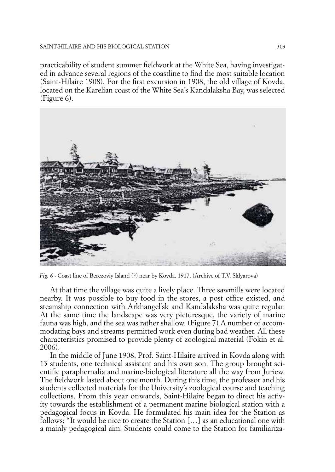## Saint-Hilaire and his biological station 303

practicability of student summer fieldwork at the White Sea, having investigated in advance several regions of the coastline to find the most suitable location (Saint-Hilaire 1908). For the first excursion in 1908, the old village of Kovda, located on the Karelian coast of the White Sea's Kandalaksha Bay, was selected (Figure 6).



*Fig. 6 -* Coast line of Berezoviy Island (?) near by Kovda. 1917. (Archive of T.V. Sklyarova)

At that time the village was quite a lively place. Three sawmills were located nearby. It was possible to buy food in the stores, a post office existed, and steamship connection with Arkhangel'sk and Kandalaksha was quite regular. At the same time the landscape was very picturesque, the variety of marine fauna was high, and the sea was rather shallow. (Figure 7) A number of accommodating bays and streams permitted work even during bad weather. All these characteristics promised to provide plenty of zoological material (Fokin et al. 2006).

In the middle of June 1908, Prof. Saint-Hilaire arrived in Kovda along with 13 students, one technical assistant and his own son. The group brought scientific paraphernalia and marine-biological literature all the way from Juriew. The fieldwork lasted about one month. During this time, the professor and his students collected materials for the University's zoological course and teaching collections. From this year onwards, Saint-Hilaire began to direct his activity towards the establishment of a permanent marine biological station with a pedagogical focus in Kovda. He formulated his main idea for the Station as follows: "It would be nice to create the Station […] as an educational one with a mainly pedagogical aim. Students could come to the Station for familiariza-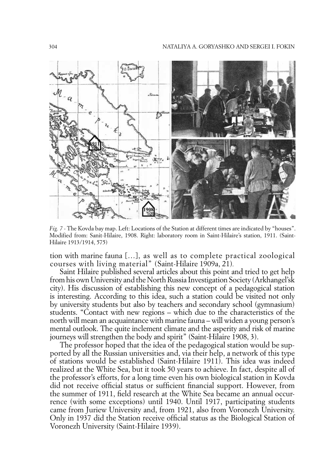

*Fig. 7 -* The Kovda bay map. Left: Locations of the Station at different times are indicated by "houses". Modified from: Sanit-Hilaire, 1908. Right: laboratory room in Saint-Hilaire's station, 1911. (Saint-Hilaire 1913/1914, 575)

tion with marine fauna […], as well as to complete practical zoological courses with living material" (Saint-Hilaire 1909a, 21)*.*

Saint Hilaire published several articles about this point and tried to get help from his own University and the North Russia Investigation Society (Arkhangel'sk city). His discussion of establishing this new concept of a pedagogical station is interesting. According to this idea, such a station could be visited not only by university students but also by teachers and secondary school (gymnasium) students. "Contact with new regions – which due to the characteristics of the north will mean an acquaintance with marine fauna – will widen a young person's mental outlook. The quite inclement climate and the asperity and risk of marine journeys will strengthen the body and spirit" (Saint-Hilaire 1908, 3).

The professor hoped that the idea of the pedagogical station would be supported by all the Russian universities and, via their help, a network of this type of stations would be established (Saint-Hilaire 1911). This idea was indeed realized at the White Sea, but it took 50 years to achieve. In fact, despite all of the professor's efforts, for a long time even his own biological station in Kovda did not receive official status or sufficient financial support. However, from the summer of 1911, field research at the White Sea became an annual occurrence (with some exceptions) until 1940. Until 1917, participating students came from Juriew University and, from 1921, also from Voronezh University. Only in 1937 did the Station receive official status as the Biological Station of Voronezh University (Saint-Hilaire 1939).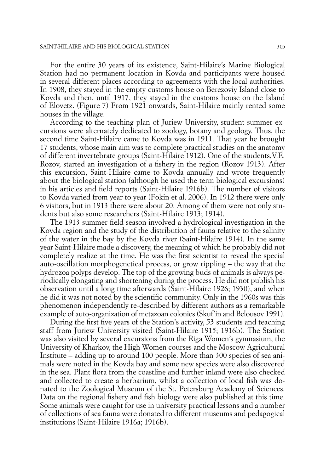For the entire 30 years of its existence, Saint-Hilaire's Marine Biological Station had no permanent location in Kovda and participants were housed in several different places according to agreements with the local authorities. In 1908, they stayed in the empty customs house on Berezoviy Island close to Kovda and then, until 1917, they stayed in the customs house on the Island of Elovetz. (Figure 7) From 1921 onwards, Saint-Hilaire mainly rented some houses in the village.

According to the teaching plan of Juriew University, student summer excursions were alternately dedicated to zoology, botany and geology. Thus, the second time Saint-Hilaire came to Kovda was in 1911. That year he brought 17 students, whose main aim was to complete practical studies on the anatomy of different invertebrate groups (Saint-Hilaire 1912). One of the students,V.E. Rozov, started an investigation of a fishery in the region (Rozov 1913). After this excursion, Saint-Hilaire came to Kovda annually and wrote frequently about the biological station (although he used the term biological excursions) in his articles and field reports (Saint-Hilaire 1916b). The number of visitors to Kovda varied from year to year (Fokin et al. 2006). In 1912 there were only 6 visitors, but in 1913 there were about 20. Among of them were not only students but also some researchers (Saint-Hilaire 1913; 1914).

The 1913 summer field season involved a hydrological investigation in the Kovda region and the study of the distribution of fauna relative to the salinity of the water in the bay by the Kovda river (Saint-Hilaire 1914). In the same year Saint-Hilaire made a discovery, the meaning of which he probably did not completely realize at the time. He was the first scientist to reveal the special auto-oscillation morphogenetical process, or grow rippling – the way that the hydrozoa polyps develop. The top of the growing buds of animals is always periodically elongating and shortening during the process. He did not publish his observation until a long time afterwards (Saint-Hilaire 1926; 1930), and when he did it was not noted by the scientific community. Only in the 1960s was this phenomenon independently re-described by different authors as a remarkable example of auto-organization of metazoan colonies (Skuf'in and Belousov 1991).

During the first five years of the Station's activity, 53 students and teaching staff from Juriew University visited (Saint-Hilaire 1915; 1916b). The Station was also visited by several excursions from the Riga Women's gymnasium, the University of Kharkov, the High Women courses and the Moscow Agricultural Institute – adding up to around 100 people. More than 300 species of sea animals were noted in the Kovda bay and some new species were also discovered in the sea. Plant flora from the coastline and further inland were also checked and collected to create a herbarium, whilst a collection of local fish was donated to the Zoological Museum of the St. Petersburg Academy of Sciences. Data on the regional fishery and fish biology were also published at this time. Some animals were caught for use in university practical lessons and a number of collections of sea fauna were donated to different museums and pedagogical institutions (Saint-Hilaire 1916a; 1916b).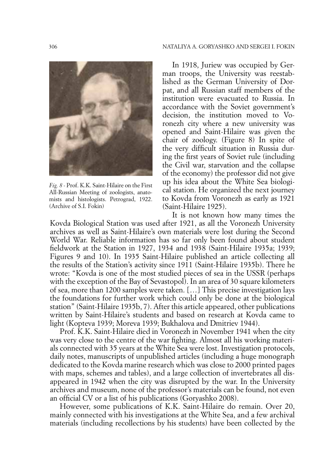

*Fig. 8 -* Prof. K.K. Saint-Hilaire on the First All-Russian Meeting of zoologists, anatomists and histologists. Petrograd, 1922. (Archive of S.I. Fokin)

In 1918, Juriew was occupied by German troops, the University was reestablished as the German University of Dorpat, and all Russian staff members of the institution were evacuated to Russia. In accordance with the Soviet government's decision, the institution moved to Voronezh city where a new university was opened and Saint-Hilaire was given the chair of zoology. (Figure 8) In spite of the very difficult situation in Russia during the first years of Soviet rule (including the Civil war, starvation and the collapse of the economy) the professor did not give up his idea about the White Sea biological station. He organized the next journey to Kovda from Voronezh as early as 1921 (Saint-Hilaire 1925).

It is not known how many times the Kovda Biological Station was used after 1921, as all the Voronezh University archives as well as Saint-Hilaire's own materials were lost during the Second World War. Reliable information has so far only been found about student fieldwork at the Station in 1927, 1934 and 1938 (Saint-Hilaire 1935a; 1939; Figures 9 and 10). In 1935 Saint-Hilaire published an article collecting all the results of the Station's activity since 1911 (Saint-Hilaire 1935b). There he wrote: "Kovda is one of the most studied pieces of sea in the USSR (perhaps with the exception of the Bay of Sevastopol). In an area of 30 square kilometers of sea, more than 1200 samples were taken. […] This precise investigation lays the foundations for further work which could only be done at the biological station" (Saint-Hilaire 1935b, 7). After this article appeared, other publications written by Saint-Hilaire's students and based on research at Kovda came to light (Kopteva 1939; Moreva 1939; Bukhalova and Dmitriev 1944).

Prof. K.K. Saint-Hilaire died in Voronezh in November 1941 when the city was very close to the centre of the war fighting. Almost all his working materials connected with 35 years at the White Sea were lost. Investigation protocols, daily notes, manuscripts of unpublished articles (including a huge monograph dedicated to the Kovda marine research which was close to 2000 printed pages with maps, schemes and tables), and a large collection of invertebrates all disappeared in 1942 when the city was disrupted by the war. In the University archives and museum, none of the professor's materials can be found, not even an official CV or a list of his publications (Goryashko 2008).

However, some publications of K.K. Saint-Hilaire do remain. Over 20, mainly connected with his investigations at the White Sea, and a few archival materials (including recollections by his students) have been collected by the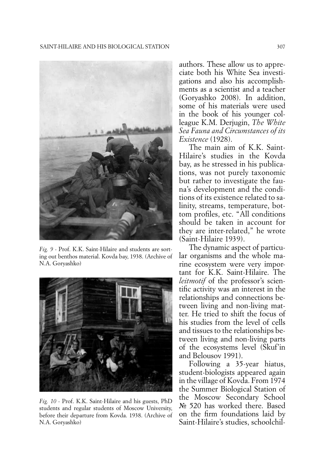

*Fig. 9 -* Prof. K.K. Saint-Hilaire and students are sorting out benthos material. Kovda bay, 1938. (Archive of N.A. Goryashko)



*Fig. 10 -* Prof. K.K. Saint-Hilaire and his guests, PhD students and regular students of Moscow University, before their departure from Kovda. 1938. (Archive of N.A. Goryashko)

authors. These allow us to appreciate both his White Sea investigations and also his accomplishments as a scientist and a teacher (Goryashko 2008). In addition, some of his materials were used in the book of his younger colleague K.M. Derjugin, *The White Sea Fauna and Circumstances of its Existence* (1928).

The main aim of K.K. Saint-Hilaire's studies in the Kovda bay, as he stressed in his publications, was not purely taxonomic but rather to investigate the fauna's development and the conditions of its existence related to salinity, streams, temperature, bottom profiles, etc. "All conditions should be taken in account for they are inter-related," he wrote (Saint-Hilaire 1939).

The dynamic aspect of particular organisms and the whole marine ecosystem were very important for K.K. Saint-Hilaire. The *leitmotif* of the professor's scientific activity was an interest in the relationships and connections between living and non-living matter. He tried to shift the focus of his studies from the level of cells and tissues to the relationships between living and non-living parts of the ecosystems level (Skuf'in and Belousov 1991).

Following a 35-year hiatus, student-biologists appeared again in the village of Kovda. From 1974 the Summer Biological Station of the Moscow Secondary School № 520 has worked there. Based on the firm foundations laid by Saint-Hilaire's studies, schoolchil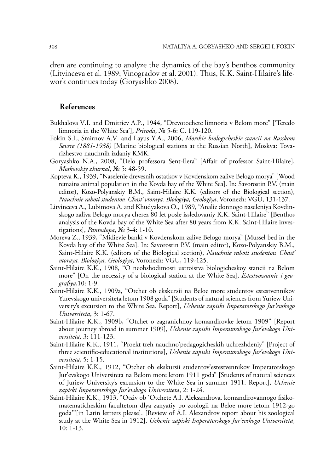dren are continuing to analyze the dynamics of the bay's benthos community (Litvinceva et al. 1989; Vinogradov et al. 2001). Thus, K.K. Saint-Hilaire's lifework continues today (Goryashko 2008).

## **References**

- Bukhalova V.I. and Dmitriev A.P., 1944, "Drevotochetc limnoria v Belom more" ['Teredo limnoria in the White Sea'], *Priroda*, № 5-6: C. 119-120.
- Fokin S.I., Smirnov A.V. and Layus Y.A., 2006, *Morskie biologicheskie stancii na Russkom Severe (1881-1938)* [Marine biological stations at the Russian North], Moskva: Tovarizhestvo nauchnih izdaniy KMK.
- Goryashko N.A., 2008, "Delo professora Sent-Ilera" [Affair of professor Saint-Hilaire], *Moskovskiy zhurnal*, № 5: 48-59.
- Kopteva K., 1939, "Naselenie drevesnih ostatkov v Kovdenskom zalive Belogo morya" [Wood remains animal population in the Kovda bay of the White Sea]. In: Savorostin P.V. (main editor), Kozo-Polyanskiy B.M., Saint-Hilaire K.K. (editors of the Biological section), *Nauchnie raboti studentov. Chast' vtoraya. Biologiya, Geologiya*, Voronezh: VGU, 131-137.
- Litvinceva A., Lubimova A. and Khudyakova O., 1989, "Analiz donnogo naseleniya Kovdinskogo zaliva Belogo morya cherez 80 let posle issledovaniy K.K. Saint-Hilaire" [Benthos analysis of the Kovda bay of the White Sea after 80 years from K.K. Saint-Hilaire investigations], *Pantodopa*, № 3-4: 1-10.
- Moreva Z., 1939, "Midievie banki v Kovdenskom zalive Belogo morya" [Mussel bed in the Kovda bay of the White Sea]. In: Savorostin P.V. (main editor), Kozo-Polyanskiy B.M., Saint-Hilaire K.K. (editors of the Biological section), *Nauchnie raboti studentov. Chast' vtoraya. Biologiya, Geologiya*, Voronezh: VGU, 119-125.
- Saint-Hilaire K.K., 1908, "O neobshodimosti ustroistva biologicheskoy stancii na Belom more" [On the necessity of a biological station at the White Sea], *Estestvoznanie i geografiya*,10: 1-9.
- Saint-Hilaire K.K., 1909a, "Otchet ob ekskursii na Beloe more studentov estestvennikov Yurevskogo universiteta letom 1908 goda" [Students of natural sciences from Yuriew University's excursion to the White Sea. Report], *Uchenie zapiski Imperatorskogo Jur'evskogo Universiteta*, 3: 1-67.
- Saint-Hilaire K.K., 1909b, "Otchet o zagranichnoy komandirovke letom 1909" [Report about journey abroad in summer 1909], *Uchenie zapiski Imperatorskogo Jur'evskogo Universiteta,* 3: 111-123.
- Saint-Hilaire K.K., 1911, "Proekt treh nauchno'pedagogicheskih uchrezhdeniy" [Project of three scientific-educational institutions], *Uchenie zapiski Imperatorskogo Jur'evskogo Universiteta*, 5: 1-15.
- Saint-Hilaire K.K., 1912, "Otchet ob ekskursii studentov'estestvennikov Imperatorskogo Jur'evskogo Universiteta na Belom more letom 1911 goda" [Students of natural sciences of Juriew University's excursion to the White Sea in summer 1911. Report], *Uchenie zapiski Imperatorskogo Jur'evskogo Universiteta*, 2: 1-24.
- Saint-Hilaire K.K., 1913, "Otziv ob 'Otchete A.I. Aleksandrova, komandirovannogo fisikomatematicheskim facultetom dlya zanyatiy po zoologii na Beloe more letom 1912-go goda'"[in Latin lettters please]. [Review of A.I. Alexandrov report about his zoological study at the White Sea in 1912], *Uchenie zapiski Imperatorskogo Jur'evskogo Universiteta*, 10: 1-13.